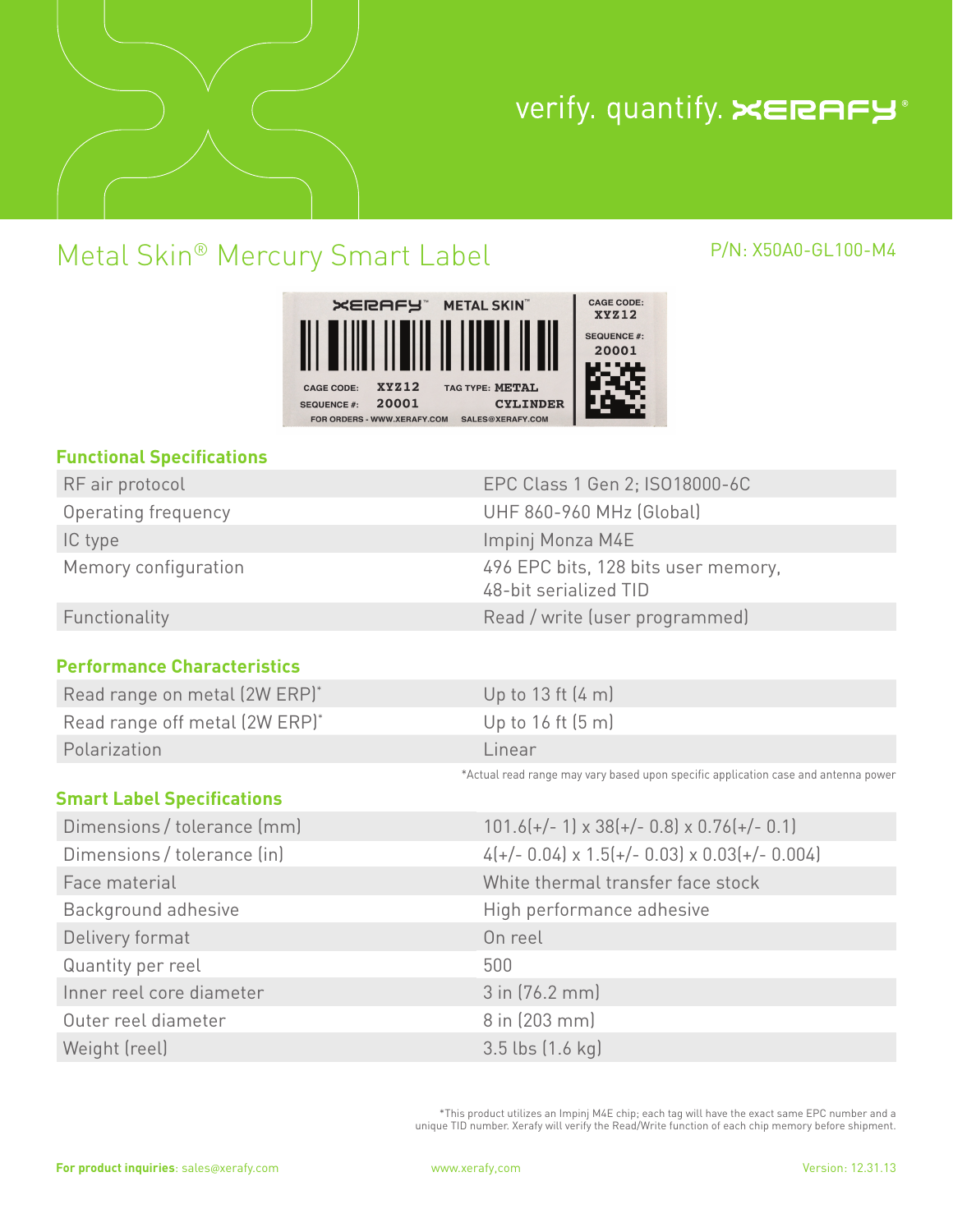

# verify. quantify. XERAFY®

## Metal Skin® Mercury Smart Label P/N: X50A0-GL100-M4

#### CAGE CODE: XERAFY" METAL SKIN" **XYZ12 SEQUENCE #:** 20001 **XYZ12** PE: METAL CAGE CODE: 20001 **CYLINDER SEQUENCE #:** FOR ORDERS - WWW.XERAFY.COM SALES@XERAFY.COM

#### **Functional Specifications**

| RE air protocol      |
|----------------------|
| Operating frequency  |
| IC type              |
| Memory configuration |

#### **Performance Characteristics**

| Read range on metal (2W ERP)*  | Up to 13 ft (4 m) |
|--------------------------------|-------------------|
| Read range off metal (2W ERP)* | Up to 16 ft (5 m) |
| Polarization                   | Linear            |

### **Smart Label Specifications**

| Dimensions / tolerance (mm) | $101.6(+/- 1) \times 3$      |
|-----------------------------|------------------------------|
| Dimensions / tolerance (in) | $4(+/- 0.04) \times 1$ .     |
| Face material               | White thermal                |
| Background adhesive         | High performa                |
| Delivery format             | On reel                      |
| Quantity per reel           | 500                          |
| Inner reel core diameter    | 3 in (76.2 mm)               |
| Outer reel diameter         | 8 in (203 mm)                |
| Weight (reel)               | $3.5$ lbs $(1.6 \text{ kg})$ |

RF air protocol EPC Class 1 Gen 2; ISO18000-6C **UHF 860-960 MHz (Global)** Impinj Monza M4E 496 EPC bits, 128 bits user memory, 48-bit serialized TID Functionality **Functionality Read / write (user programmed)** 

| Up to 13 ft (4 m) |  |  |  |
|-------------------|--|--|--|
| Up to 16 ft (5 m) |  |  |  |
| Linear            |  |  |  |

\*Actual read range may vary based upon specific application case and antenna power

| Dimensions / tolerance (mm) | $101.6$ (+/- 1) x 38(+/- 0.8) x 0.76(+/- 0.1)             |
|-----------------------------|-----------------------------------------------------------|
| Dimensions / tolerance (in) | $4(+/- 0.04) \times 1.5(+/- 0.03) \times 0.03(+/- 0.004)$ |
| Face material               | White thermal transfer face stock                         |
| Background adhesive         | High performance adhesive                                 |
| Delivery format             | On reel                                                   |
| Quantity per reel           | 500                                                       |
| Inner reel core diameter    | $3$ in $(76.2$ mm                                         |
| Outer reel diameter         | 8 in (203 mm)                                             |
|                             |                                                           |

\*This product utilizes an Impinj M4E chip; each tag will have the exact same EPC number and a unique TID number. Xerafy will verify the Read/Write function of each chip memory before shipment.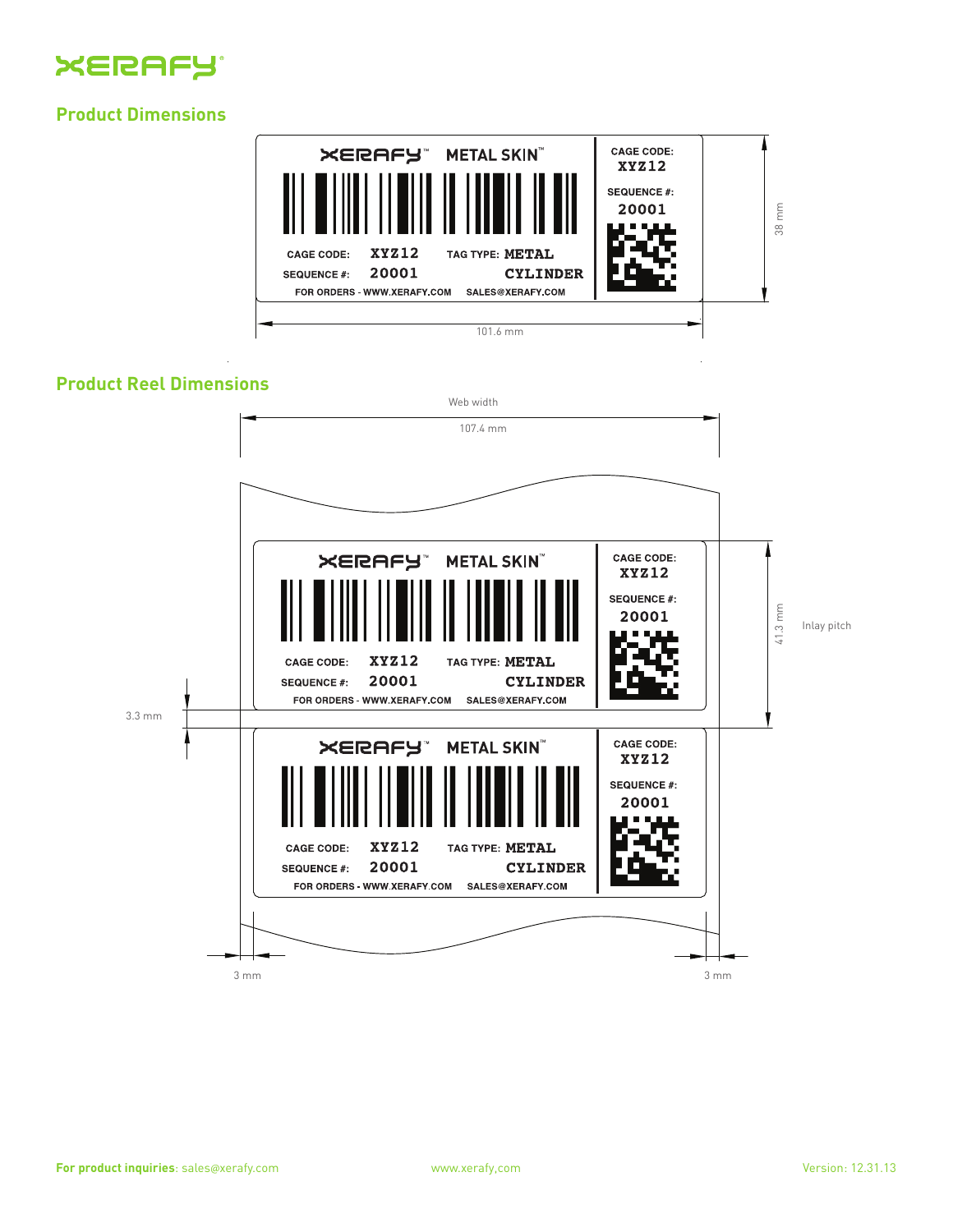

#### **Product Dimensions**



#### **Product Reel Dimensions**

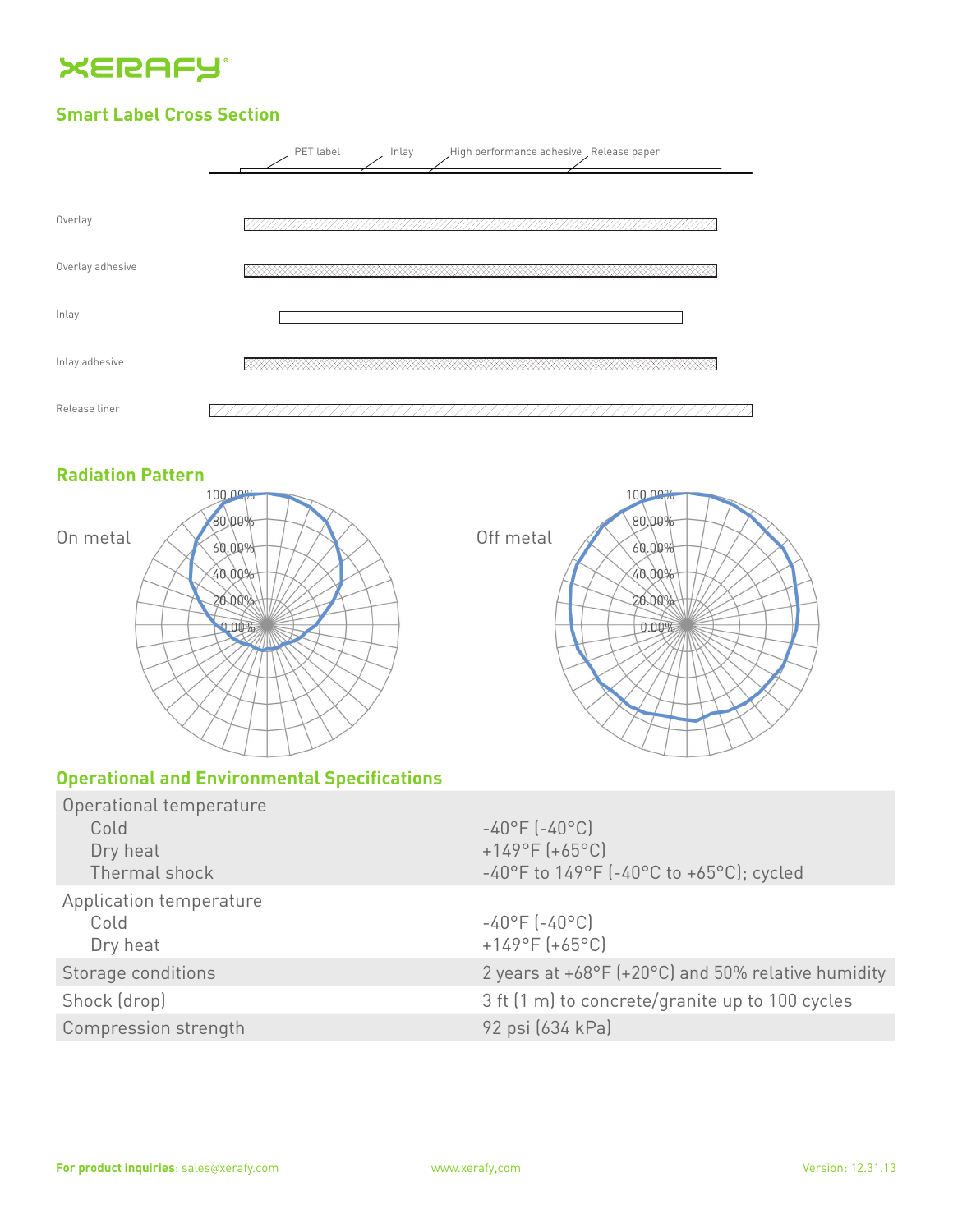

#### **Smart Label Cross Section**



#### **Radiation Pattern**



#### **Operational and Environmental Specifications**

| Operational temperature<br>Cold<br>Dry heat<br>Thermal shock | $-40^{\circ}$ F (-40°C)<br>$+149^{\circ}F (+65^{\circ}C)$<br>-40°F to $149$ °F (-40°C to +65°C); cycled |
|--------------------------------------------------------------|---------------------------------------------------------------------------------------------------------|
| Application temperature<br>Cold<br>Dry heat                  | $-40^{\circ}$ F (-40°C)<br>$+149^{\circ}F (+65^{\circ}C)$                                               |
| Storage conditions                                           | 2 years at $+68^{\circ}F$ ( $+20^{\circ}C$ ) and 50% relative humidity                                  |
| Shock (drop)                                                 | 3 ft (1 m) to concrete/granite up to 100 cycles                                                         |
| Compression strength                                         | 92 psi (634 kPa)                                                                                        |